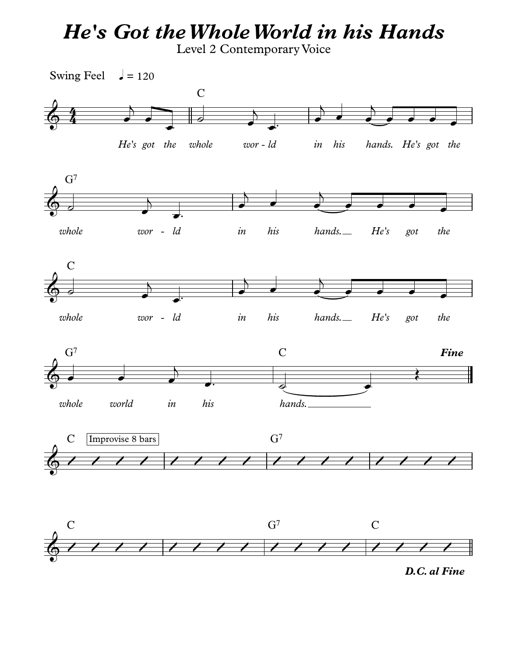## *He's Got theWholeWorld in his Hands*

Level 2 Contemporary Voice



*D.C. al Fine*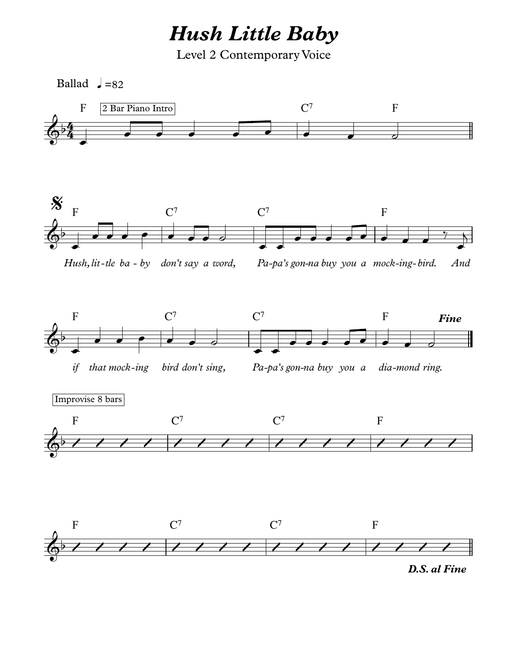*Hush Little Baby*

Level 2 Contemporary Voice

Ballad  $J=82$ 

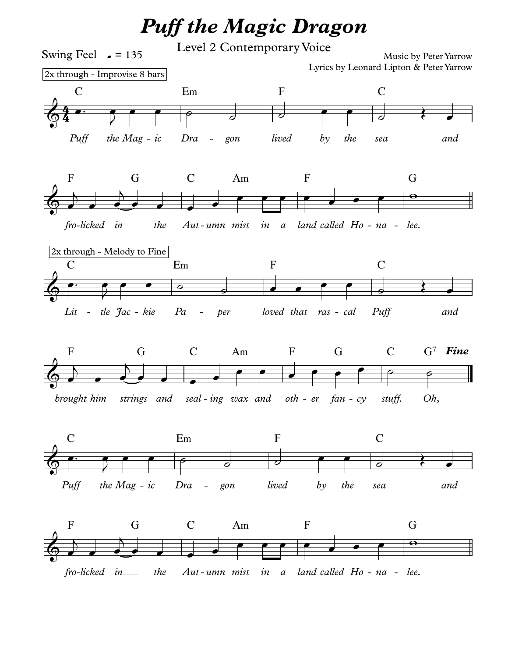## *Puff the Magic Dragon*